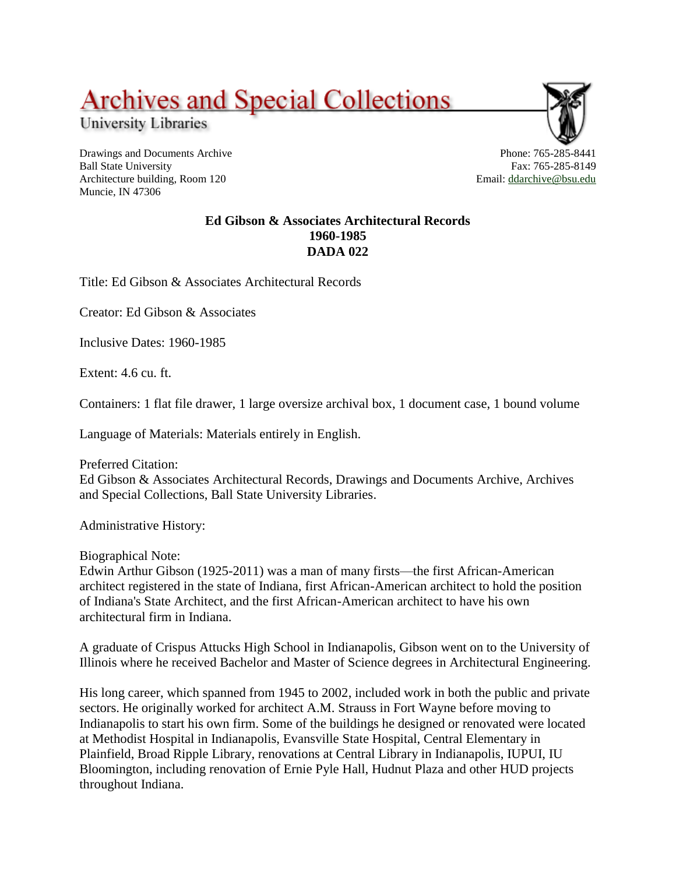## **Archives and Special Collections**

University Libraries

Drawings and Documents Archive Ball State University Architecture building, Room 120 Muncie, IN 47306

Phone: 765-285-8441 Fax: 765-285-8149 Email: [ddarchive@bsu.edu](mailto:ddarchive@bsu.edu)

## **Ed Gibson & Associates Architectural Records 1960-1985 DADA 022**

Title: Ed Gibson & Associates Architectural Records

Creator: Ed Gibson & Associates

Inclusive Dates: 1960-1985

Extent: 4.6 cu. ft.

Containers: 1 flat file drawer, 1 large oversize archival box, 1 document case, 1 bound volume

Language of Materials: Materials entirely in English.

Preferred Citation: Ed Gibson & Associates Architectural Records, Drawings and Documents Archive, Archives and Special Collections, Ball State University Libraries.

Administrative History:

Biographical Note:

Edwin Arthur Gibson (1925-2011) was a man of many firsts—the first African-American architect registered in the state of Indiana, first African-American architect to hold the position of Indiana's State Architect, and the first African-American architect to have his own architectural firm in Indiana.

A graduate of Crispus Attucks High School in Indianapolis, Gibson went on to the University of Illinois where he received Bachelor and Master of Science degrees in Architectural Engineering.

His long career, which spanned from 1945 to 2002, included work in both the public and private sectors. He originally worked for architect A.M. Strauss in Fort Wayne before moving to Indianapolis to start his own firm. Some of the buildings he designed or renovated were located at Methodist Hospital in Indianapolis, Evansville State Hospital, Central Elementary in Plainfield, Broad Ripple Library, renovations at Central Library in Indianapolis, IUPUI, IU Bloomington, including renovation of Ernie Pyle Hall, Hudnut Plaza and other HUD projects throughout Indiana.

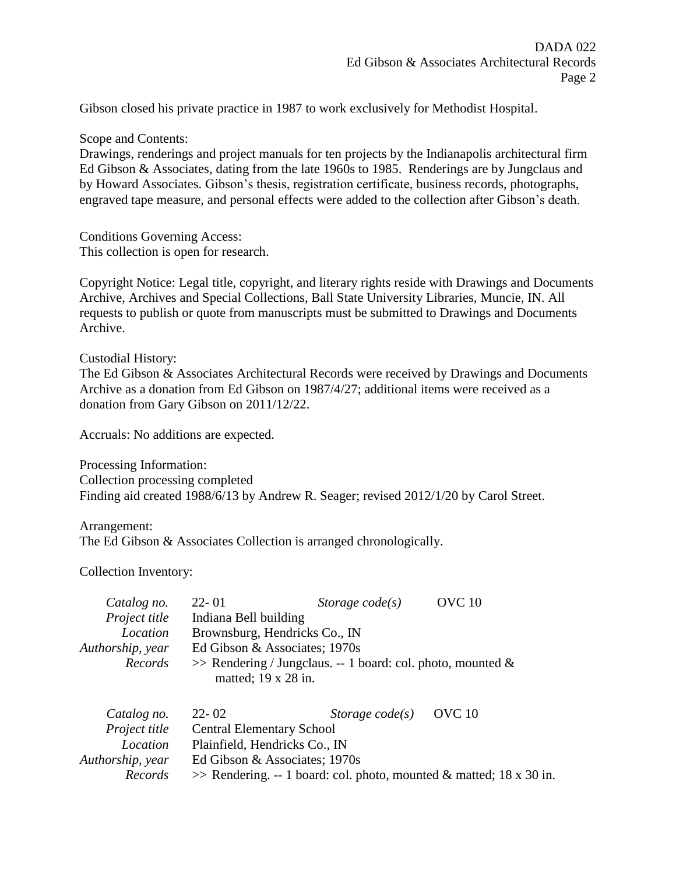Gibson closed his private practice in 1987 to work exclusively for Methodist Hospital.

Scope and Contents:

Drawings, renderings and project manuals for ten projects by the Indianapolis architectural firm Ed Gibson & Associates, dating from the late 1960s to 1985. Renderings are by Jungclaus and by Howard Associates. Gibson's thesis, registration certificate, business records, photographs, engraved tape measure, and personal effects were added to the collection after Gibson's death.

Conditions Governing Access: This collection is open for research.

Copyright Notice: Legal title, copyright, and literary rights reside with Drawings and Documents Archive, Archives and Special Collections, Ball State University Libraries, Muncie, IN. All requests to publish or quote from manuscripts must be submitted to Drawings and Documents Archive.

Custodial History:

The Ed Gibson & Associates Architectural Records were received by Drawings and Documents Archive as a donation from Ed Gibson on 1987/4/27; additional items were received as a donation from Gary Gibson on 2011/12/22.

Accruals: No additions are expected.

Processing Information: Collection processing completed Finding aid created 1988/6/13 by Andrew R. Seager; revised 2012/1/20 by Carol Street.

Arrangement:

The Ed Gibson & Associates Collection is arranged chronologically.

Collection Inventory:

| Catalog no.          | $22 - 01$                                                                                    | Storage $code(s)$ | <b>OVC</b> 10                                                          |
|----------------------|----------------------------------------------------------------------------------------------|-------------------|------------------------------------------------------------------------|
| Project title        | Indiana Bell building                                                                        |                   |                                                                        |
| Location             | Brownsburg, Hendricks Co., IN                                                                |                   |                                                                        |
| Authorship, year     | Ed Gibson & Associates; 1970s                                                                |                   |                                                                        |
| Records              | $\gg$ Rendering / Jungclaus. -- 1 board: col. photo, mounted &<br>matted; $19 \times 28$ in. |                   |                                                                        |
| Catalog no.          | $22 - 02$                                                                                    | Storage $code(s)$ | OVC 10                                                                 |
| <i>Project title</i> | <b>Central Elementary School</b>                                                             |                   |                                                                        |
| Location             | Plainfield, Hendricks Co., IN                                                                |                   |                                                                        |
| Authorship, year     | Ed Gibson & Associates; 1970s                                                                |                   |                                                                        |
| Records              |                                                                                              |                   | $\gg$ Rendering. -- 1 board: col. photo, mounted & matted; 18 x 30 in. |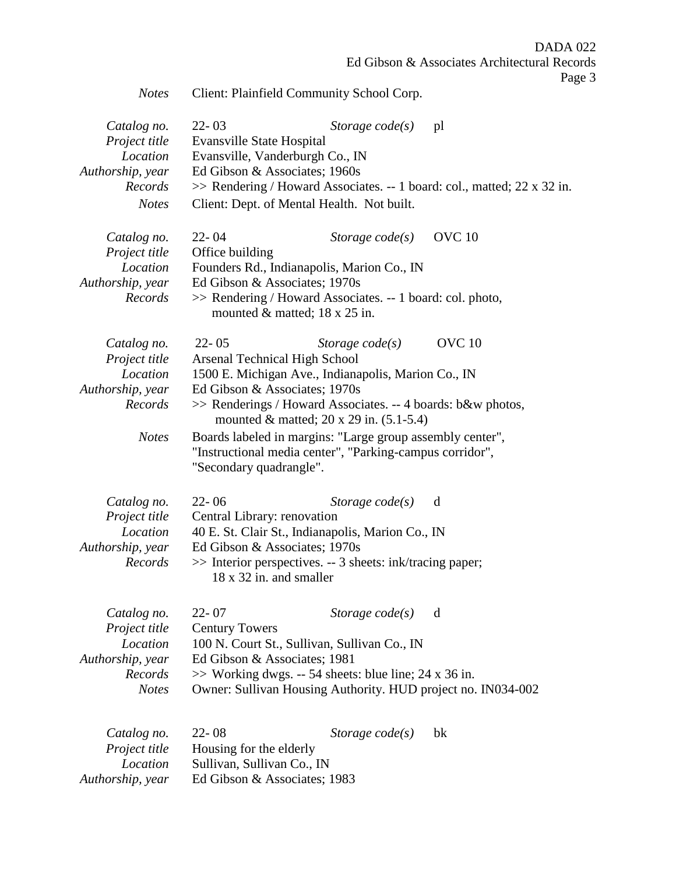DADA 022 Ed Gibson & Associates Architectural Records

Page 3

| Notes | Client: Plainfield Community School Corp. |  |  |  |
|-------|-------------------------------------------|--|--|--|
|-------|-------------------------------------------|--|--|--|

| Catalog no.<br>Project title<br>Location<br>Authorship, year<br>Records<br><b>Notes</b> | $22 - 03$<br>Storage $code(s)$<br>Evansville State Hospital<br>Evansville, Vanderburgh Co., IN<br>Ed Gibson & Associates; 1960s<br>Client: Dept. of Mental Health. Not built.                                                                                                                                                                                                                                                         | <sub>pl</sub><br>>> Rendering / Howard Associates. -- 1 board: col., matted; 22 x 32 in. |
|-----------------------------------------------------------------------------------------|---------------------------------------------------------------------------------------------------------------------------------------------------------------------------------------------------------------------------------------------------------------------------------------------------------------------------------------------------------------------------------------------------------------------------------------|------------------------------------------------------------------------------------------|
| Catalog no.<br>Project title<br>Location<br>Authorship, year<br>Records                 | $22 - 04$<br>Storage $code(s)$<br>Office building<br>Founders Rd., Indianapolis, Marion Co., IN<br>Ed Gibson & Associates; 1970s<br>>> Rendering / Howard Associates. -- 1 board: col. photo,<br>mounted $&$ matted; 18 x 25 in.                                                                                                                                                                                                      | <b>OVC</b> 10                                                                            |
| Catalog no.<br>Project title<br>Location<br>Authorship, year<br>Records<br><b>Notes</b> | $22 - 05$<br>Storage $code(s)$<br><b>Arsenal Technical High School</b><br>1500 E. Michigan Ave., Indianapolis, Marion Co., IN<br>Ed Gibson & Associates; 1970s<br>>> Renderings / Howard Associates. -- 4 boards: b&w photos,<br>mounted & matted; $20 \times 29$ in. $(5.1-5.4)$<br>Boards labeled in margins: "Large group assembly center",<br>"Instructional media center", "Parking-campus corridor",<br>"Secondary quadrangle". | <b>OVC</b> 10                                                                            |
| Catalog no.<br>Project title<br>Location<br>Authorship, year<br>Records                 | $22 - 06$<br>Storage $code(s)$<br>Central Library: renovation<br>40 E. St. Clair St., Indianapolis, Marion Co., IN<br>Ed Gibson & Associates; 1970s<br>>> Interior perspectives. -- 3 sheets: ink/tracing paper;<br>18 x 32 in. and smaller                                                                                                                                                                                           | d                                                                                        |
| Catalog no.<br>Project title<br>Location<br>Authorship, year<br>Records<br><b>Notes</b> | $22 - 07$<br>Storage $code(s)$<br><b>Century Towers</b><br>100 N. Court St., Sullivan, Sullivan Co., IN<br>Ed Gibson & Associates; 1981<br>$\gg$ Working dwgs. -- 54 sheets: blue line; 24 x 36 in.<br>Owner: Sullivan Housing Authority. HUD project no. IN034-002                                                                                                                                                                   | d                                                                                        |
| Catalog no.<br>Project title<br>Location<br>Authorship, year                            | $22 - 08$<br>Storage $code(s)$<br>Housing for the elderly<br>Sullivan, Sullivan Co., IN<br>Ed Gibson & Associates; 1983                                                                                                                                                                                                                                                                                                               | bk                                                                                       |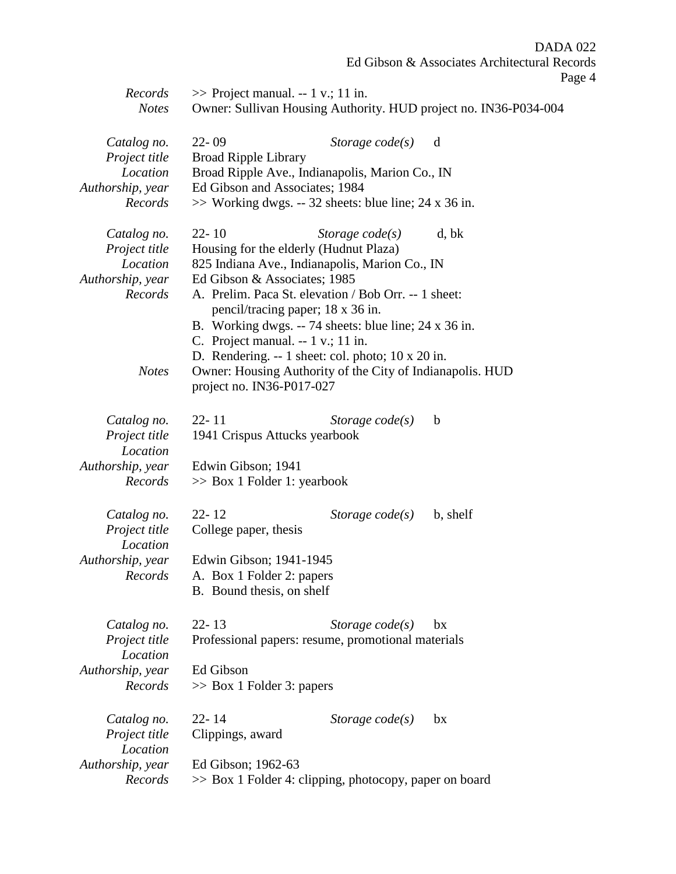DADA 022

Ed Gibson & Associates Architectural Records Page 4

| Records<br><b>Notes</b>                                                 | $\gg$ Project manual. -- 1 v.; 11 in.<br>Owner: Sullivan Housing Authority. HUD project no. IN36-P034-004                                                                                                                                                                                                                                                       |  |  |
|-------------------------------------------------------------------------|-----------------------------------------------------------------------------------------------------------------------------------------------------------------------------------------------------------------------------------------------------------------------------------------------------------------------------------------------------------------|--|--|
| Catalog no.<br>Project title<br>Location<br>Authorship, year<br>Records | $22 - 09$<br>Storage $code(s)$<br>d<br><b>Broad Ripple Library</b><br>Broad Ripple Ave., Indianapolis, Marion Co., IN<br>Ed Gibson and Associates; 1984<br>$\gg$ Working dwgs. -- 32 sheets: blue line; 24 x 36 in.                                                                                                                                             |  |  |
| Catalog no.<br>Project title<br>Location<br>Authorship, year<br>Records | $22 - 10$<br>Storage $code(s)$<br>d, bk<br>Housing for the elderly (Hudnut Plaza)<br>825 Indiana Ave., Indianapolis, Marion Co., IN<br>Ed Gibson & Associates; 1985<br>A. Prelim. Paca St. elevation / Bob Orr. -- 1 sheet:<br>pencil/tracing paper; 18 x 36 in.<br>B. Working dwgs. -- 74 sheets: blue line; 24 x 36 in.<br>C. Project manual. $-1$ v.; 11 in. |  |  |
| <b>Notes</b>                                                            | D. Rendering. $-1$ sheet: col. photo; 10 x 20 in.<br>Owner: Housing Authority of the City of Indianapolis. HUD<br>project no. IN36-P017-027                                                                                                                                                                                                                     |  |  |
| Catalog no.<br>Project title<br>Location<br>Authorship, year<br>Records | $22 - 11$<br>Storage $code(s)$<br>$\mathbf b$<br>1941 Crispus Attucks yearbook<br>Edwin Gibson; 1941<br>$\gg$ Box 1 Folder 1: yearbook                                                                                                                                                                                                                          |  |  |
| Catalog no.<br>Project title<br>Location<br>Authorship, year<br>Records | $22 - 12$<br>Storage $code(s)$<br>b, shelf<br>College paper, thesis<br>Edwin Gibson; 1941-1945<br>A. Box 1 Folder 2: papers<br>B. Bound thesis, on shelf                                                                                                                                                                                                        |  |  |
| Catalog no.<br>Project title<br>Location<br>Authorship, year<br>Records | $22 - 13$<br>Storage $code(s)$<br>bx<br>Professional papers: resume, promotional materials<br>Ed Gibson<br>$\gg$ Box 1 Folder 3: papers                                                                                                                                                                                                                         |  |  |
| Catalog no.<br>Project title<br>Location<br>Authorship, year<br>Records | $22 - 14$<br>Storage $code(s)$<br>bx<br>Clippings, award<br>Ed Gibson; 1962-63<br>>> Box 1 Folder 4: clipping, photocopy, paper on board                                                                                                                                                                                                                        |  |  |